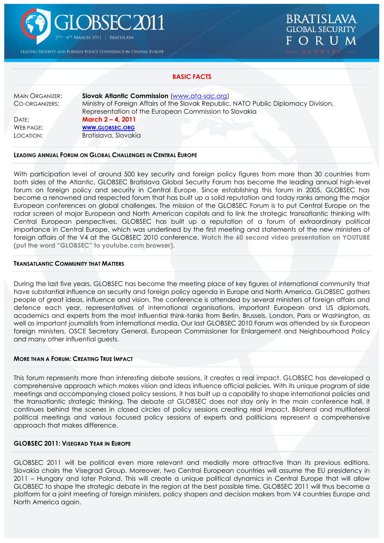

LEADING SECURITY AND FOREIGN POLICY CONFERENCE IN CENTRAL EUROPE



# **BASIC FACTS**

MAIN ORGANIZER: **Slovak Atlantic Commission** [\(www.ata-sac.org\)](http://www.ata-sac.org/) CO-ORGANIZERS: Ministry of Foreign Affairs of the Slovak Republic, NATO Public Diplomacy Division, Representation of the European Commission to Slovakia DATE: **March 2 – 4, 2011** WEB PAGE: **WWW.[GLOBSEC](http://www.globsec.org/).ORG** LOCATION: Bratislava, Slovakia

# **LEADING ANNUAL FORUM ON GLOBAL CHALLENGES IN CENTRAL EUROPE**

With participation level of around 500 key security and foreign policy figures from more than 30 countries from both sides of the Atlantic, GLOBSEC Bratislava Global Security Forum has become the leading annual high-level forum on foreign policy and security in Central Europe. Since establishing this forum in 2005, GLOBSEC has become a renowned and respected forum that has built up a solid reputation and today ranks among the major European conferences on global challenges. The mission of the GLOBSEC Forum is to put Central Europe on the radar screen of major European and North American capitals and to link the strategic transatlantic thinking with Central European perspectives. GLOBSEC has built up a reputation of a forum of extraordinary political importance in Central Europe, which was underlined by the first meeting and statements of the new ministers of foreign affairs of the V4 at the GLOBSEC 2010 conference. **Watch the 60 second video presentation on YOUTUBE (put the word "GLOBSEC" to youtube.com browser).**

#### **TRANSATLANTIC COMMUNITY THAT MATTERS**

During the last five years, GLOBSEC has become the meeting place of key figures of international community that have substantial influence on security and foreign policy agenda in Europe and North America. GLOBSEC gathers people of great ideas, influence and vision. The conference is attended by several ministers of foreign affairs and defence each year, representatives of international organisations, important European and US diplomats, academics and experts from the most influential think-tanks from Berlin, Brussels, London, Paris or Washington, as well as important journalists from international media. Our last GLOBSEC 2010 Forum was attended by six European foreign ministers, OSCE Secretary General, European Commissioner for Enlargement and Neighbourhood Policy and many other influential guests.

### **MORE THAN A FORUM: CREATING TRUE IMPACT**

This forum represents more than interesting debate sessions, it creates a real impact. GLOBSEC has developed a comprehensive approach which makes vision and ideas influence official policies. With its unique program of side meetings and accompanying closed policy sessions, it has built up a capability to shape international policies and the transatlantic strategic thinking. The debate at GLOBSEC does not stay only in the main conference hall, it continues behind the scenes in closed circles of policy sessions creating real impact. Bilateral and multilateral political meetings and various focused policy sessions of experts and politicians represent a comprehensive approach that makes difference.

# **GLOBSEC 2011: VISEGRAD YEAR IN EUROPE**

GLOBSEC 2011 will be political even more relevant and medially more attractive than its previous editions. Slovakia chairs the Visegrad Group. Moreover, two Central European countries will assume the EU presidency in 2011 – Hungary and later Poland. This will create a unique political dynamics in Central Europe that will allow GLOBSEC to shape the strategic debate in the region at the best possible time. GLOBSEC 2011 will thus become a platform for a joint meeting of foreign ministers, policy shapers and decision makers from V4 countries Europe and North America again.